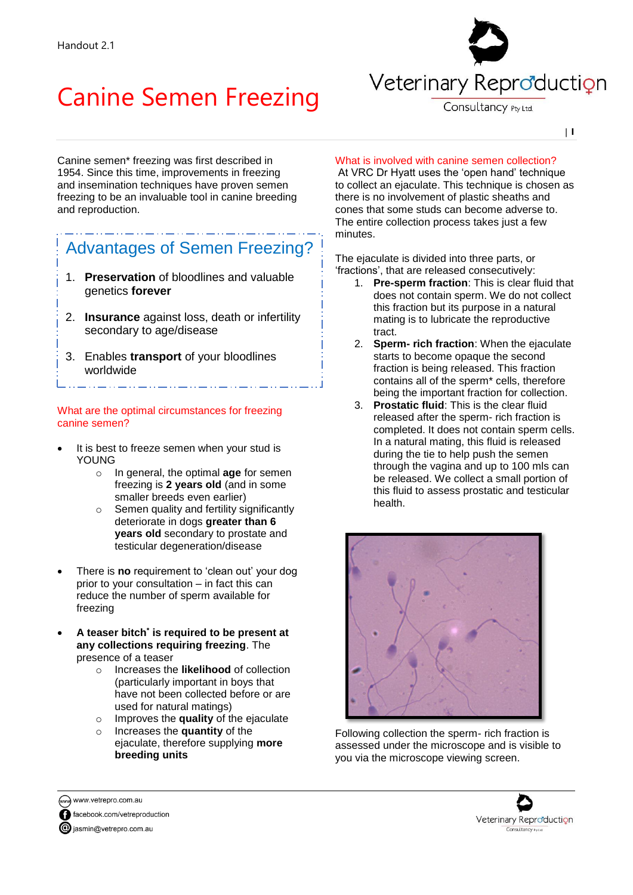# Canine Semen Freezing



Consultancy Pty Ltd.

| **1**

Canine semen\* freezing was first described in 1954. Since this time, improvements in freezing and insemination techniques have proven semen freezing to be an invaluable tool in canine breeding and reproduction.

## Advantages of Semen Freezing?

- 1. **Preservation** of bloodlines and valuable genetics **forever**
- 2. **Insurance** against loss, death or infertility secondary to age/disease
- 3. Enables **transport** of your bloodlines worldwide

#### What are the optimal circumstances for freezing canine semen?

- It is best to freeze semen when your stud is YOUNG
	- o In general, the optimal **age** for semen freezing is **2 years old** (and in some smaller breeds even earlier)
	- Semen quality and fertility significantly deteriorate in dogs **greater than 6 years old** secondary to prostate and testicular degeneration/disease
- There is **no** requirement to 'clean out' your dog prior to your consultation – in fact this can reduce the number of sperm available for freezing
- **A teaser bitch\* is required to be present at any collections requiring freezing**. The presence of a teaser
	- o Increases the **likelihood** of collection (particularly important in boys that have not been collected before or are used for natural matings)
	- o Improves the **quality** of the ejaculate
	- o Increases the **quantity** of the ejaculate, therefore supplying **more breeding units**

### What is involved with canine semen collection?

At VRC Dr Hyatt uses the 'open hand' technique to collect an ejaculate. This technique is chosen as there is no involvement of plastic sheaths and cones that some studs can become adverse to. The entire collection process takes just a few minutes.

The ejaculate is divided into three parts, or 'fractions', that are released consecutively:

- 1. **Pre-sperm fraction**: This is clear fluid that does not contain sperm. We do not collect this fraction but its purpose in a natural mating is to lubricate the reproductive tract.
- 2. **Sperm- rich fraction**: When the ejaculate starts to become opaque the second fraction is being released. This fraction contains all of the sperm\* cells, therefore being the important fraction for collection.
- 3. **Prostatic fluid**: This is the clear fluid released after the sperm- rich fraction is completed. It does not contain sperm cells. In a natural mating, this fluid is released during the tie to help push the semen through the vagina and up to 100 mls can be released. We collect a small portion of this fluid to assess prostatic and testicular health.



Following collection the sperm- rich fraction is assessed under the microscope and is visible to you via the microscope viewing screen.



www.vetrepro.com.au facebook.com/vetreproduction

giasmin@vetrepro.com.au